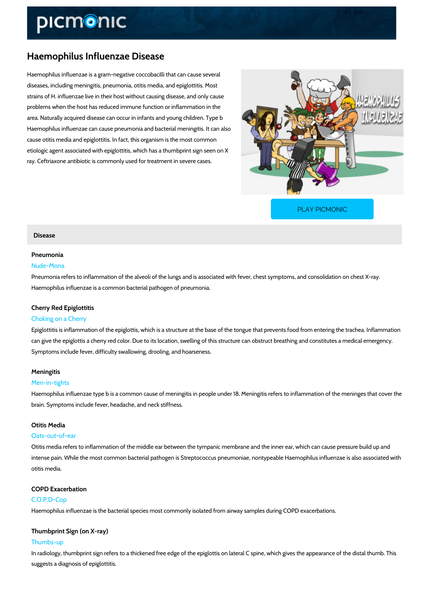# Haemophilus Influenzae Disease

Haemophilus influenzae is a gram-negative coccobacilli that can cause several diseases, including meningitis, pneumonia, otitis media, and epiglottitis. Most strains of H. influenzae live in their host without causing disease, and only cause problems when the host has reduced immune function or inflammation in the area. Naturally acquired disease can occur in infants and young children. Type b Haemophilus influenzae can cause pneumonia and bacterial meningitis. It can also cause otitis media and epiglottitis. In fact, this organism is the most common etiologic agent associated with epiglottitis, which has a thumbprint sign seen on X ray. Ceftriaxone antibiotic is commonly used for treatment in severe cases.

[PLAY PICMONIC](https://www.picmonic.com/learn/haemophilus-influenzae-disease_312?utm_source=downloadable_content&utm_medium=distributedcontent&utm_campaign=pathways_pdf&utm_content=Haemophilus Influenzae Disease&utm_ad_group=leads&utm_market=all)

### Disease

### Pneumonia

### Nude-Mona

Pneumonia refers to inflammation of the alveoli of the lungs and is associated with fever, che Haemophilus influenzae is a common bacterial pathogen of pneumonia.

### Cherry Red Epiglottitis

#### Choking on a Cherry

Epiglottitis is inflammation of the epiglottis, which is a structure at the base of the tongue th can give the epiglottis a cherry red color. Due to its location, swelling of this structure can o Symptoms include fever, difficulty swallowing, drooling, and hoarseness.

#### Meningitis

#### Men-in-tights

Haemophilus influenzae type b is a common cause of meningitis in people under 18. Meningiti brain. Symptoms include fever, headache, and neck stiffness.

### Otitis Media

#### Oats-out-of-ear

Otitis media refers to inflammation of the middle ear between the tympanic membrane and the intense pain. While the most common bacterial pathogen is Streptococcus pneumoniae, nontyp otitis media.

# COPD Exacerbation

### C.O.P.D-Cop

Haemophilus influenzae is the bacterial species most commonly isolated from airway samples

### Thumbprint Sign (on X-ray)

### Thumbs-up

In radiology, thumbprint sign refers to a thickened free edge of the epiglottis on lateral C spi suggests a diagnosis of epiglottitis.